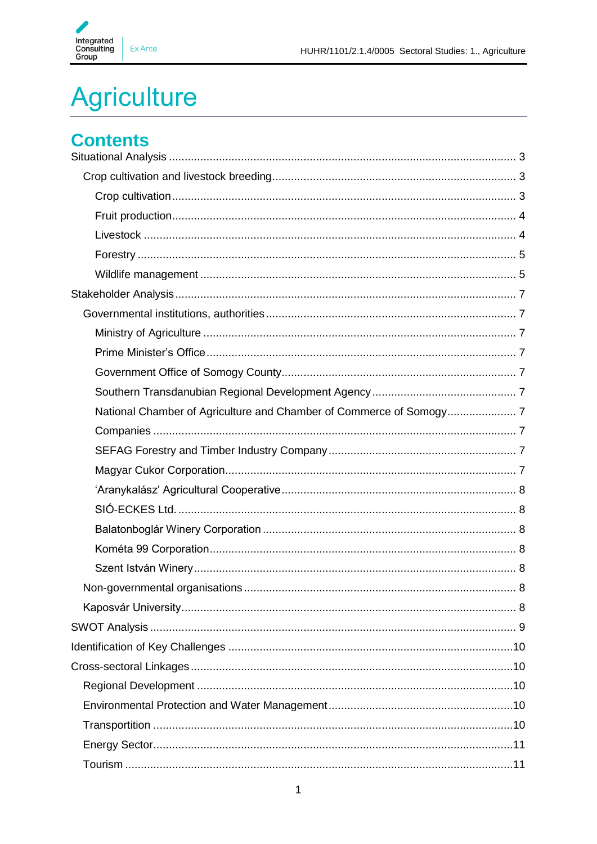

# **Agriculture**

## **Contents**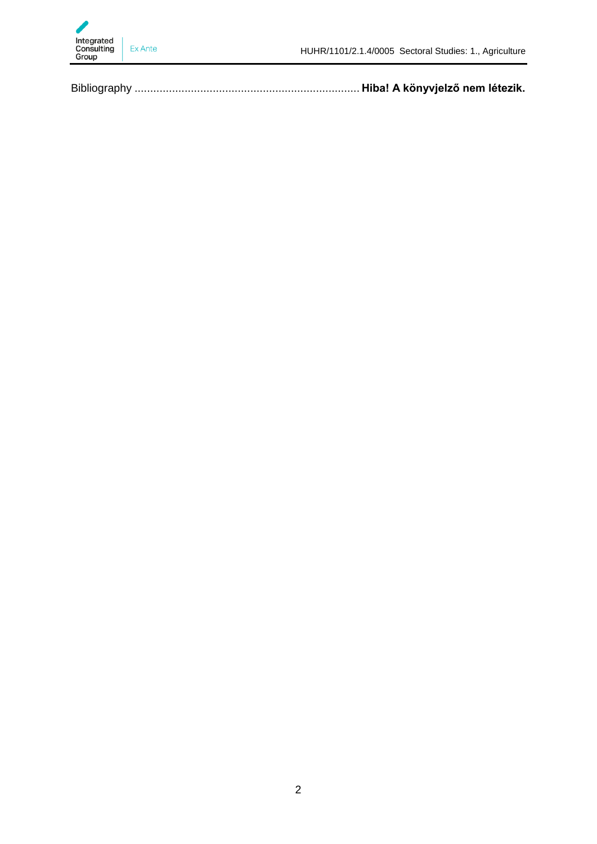

Bibliography ........................................................................ **Hiba! A könyvjelző nem létezik.**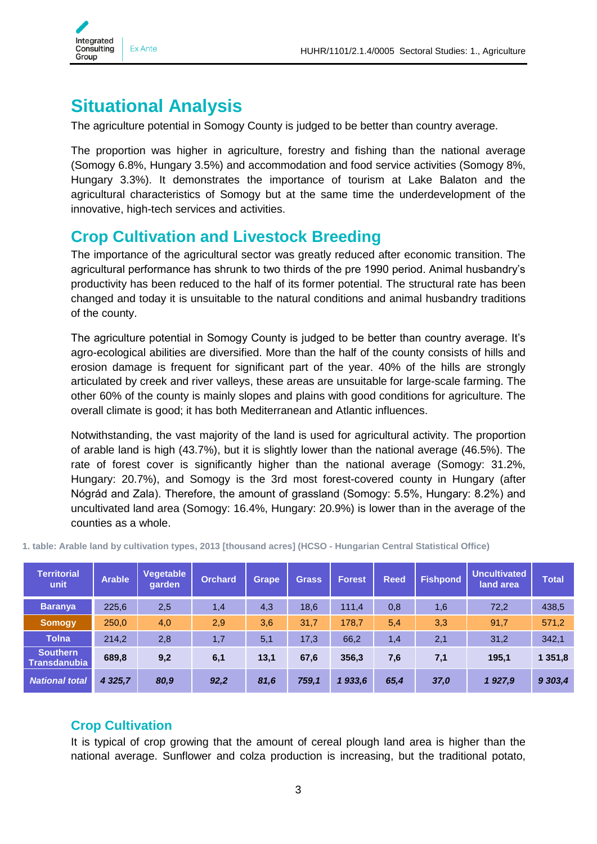

## <span id="page-2-0"></span>**Situational Analysis**

The agriculture potential in Somogy County is judged to be better than country average.

The proportion was higher in agriculture, forestry and fishing than the national average (Somogy 6.8%, Hungary 3.5%) and accommodation and food service activities (Somogy 8%, Hungary 3.3%). It demonstrates the importance of tourism at Lake Balaton and the agricultural characteristics of Somogy but at the same time the underdevelopment of the innovative, high-tech services and activities.

### <span id="page-2-1"></span>**Crop Cultivation and Livestock Breeding**

The importance of the agricultural sector was greatly reduced after economic transition. The agricultural performance has shrunk to two thirds of the pre 1990 period. Animal husbandry's productivity has been reduced to the half of its former potential. The structural rate has been changed and today it is unsuitable to the natural conditions and animal husbandry traditions of the county.

The agriculture potential in Somogy County is judged to be better than country average. It's agro-ecological abilities are diversified. More than the half of the county consists of hills and erosion damage is frequent for significant part of the year. 40% of the hills are strongly articulated by creek and river valleys, these areas are unsuitable for large-scale farming. The other 60% of the county is mainly slopes and plains with good conditions for agriculture. The overall climate is good; it has both Mediterranean and Atlantic influences.

Notwithstanding, the vast majority of the land is used for agricultural activity. The proportion of arable land is high (43.7%), but it is slightly lower than the national average (46.5%). The rate of forest cover is significantly higher than the national average (Somogy: 31.2%, Hungary: 20.7%), and Somogy is the 3rd most forest-covered county in Hungary (after Nógrád and Zala). Therefore, the amount of grassland (Somogy: 5.5%, Hungary: 8.2%) and uncultivated land area (Somogy: 16.4%, Hungary: 20.9%) is lower than in the average of the counties as a whole.

| <b>Territorial</b><br>unit             | <b>Arable</b> | Vegetable<br>qarden | <b>Orchard</b> | <b>Grape</b> | <b>Grass</b> | <b>Forest</b> | <b>Reed</b> | <b>Fishpond</b> | <b>Uncultivated</b><br>land area | <b>Total</b> |
|----------------------------------------|---------------|---------------------|----------------|--------------|--------------|---------------|-------------|-----------------|----------------------------------|--------------|
| <b>Baranya</b>                         | 225,6         | 2,5                 | 1,4            | 4,3          | 18,6         | 111,4         | 0,8         | 1,6             | 72,2                             | 438,5        |
| <b>Somogy</b>                          | 250,0         | 4,0                 | 2,9            | 3,6          | 31,7         | 178,7         | 5,4         | 3,3             | 91,7                             | 571,2        |
| <b>Tolna</b>                           | 214,2         | 2,8                 | 1,7            | 5,1          | 17,3         | 66,2          | 1,4         | 2,1             | 31,2                             | 342,1        |
| <b>Southern</b><br><b>Transdanubia</b> | 689,8         | 9,2                 | 6,1            | 13,1         | 67,6         | 356,3         | 7,6         | 7,1             | 195,1                            | 1 351,8      |
| <b>National total</b>                  | 4 3 25,7      | 80,9                | 92,2           | 81,6         | 759.1        | 1933,6        | 65,4        | 37,0            | 1927,9                           | 9 303,4      |

**1. table: Arable land by cultivation types, 2013 [thousand acres] (HCSO - Hungarian Central Statistical Office)**

#### <span id="page-2-2"></span>**Crop Cultivation**

It is typical of crop growing that the amount of cereal plough land area is higher than the national average. Sunflower and colza production is increasing, but the traditional potato,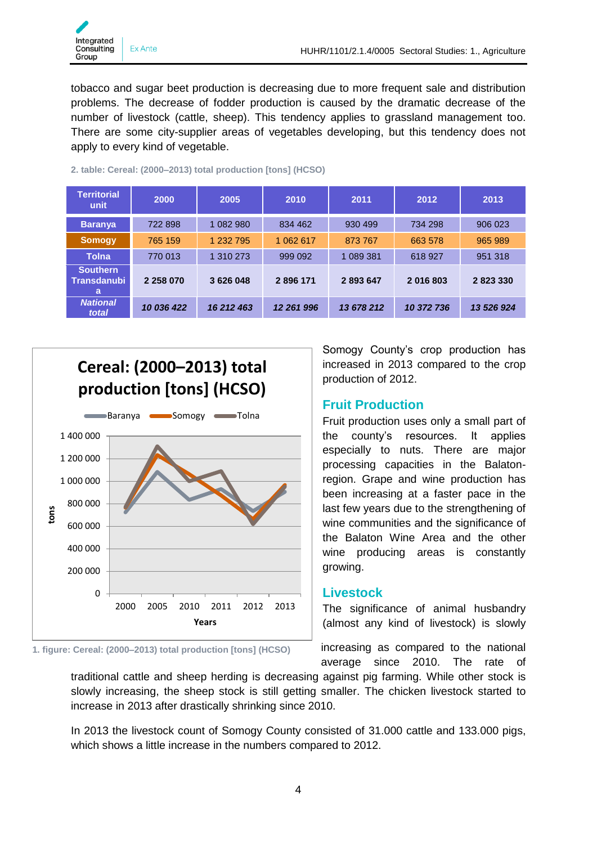

tobacco and sugar beet production is decreasing due to more frequent sale and distribution problems. The decrease of fodder production is caused by the dramatic decrease of the number of livestock (cattle, sheep). This tendency applies to grassland management too. There are some city-supplier areas of vegetables developing, but this tendency does not apply to every kind of vegetable.

| <b>Territorial</b><br>unit                 | 2000          | 2005       | 2010       | 2011       |            | 2013       |  |
|--------------------------------------------|---------------|------------|------------|------------|------------|------------|--|
| <b>Baranya</b>                             | 722 898       | 1 082 980  | 834 462    | 930 499    | 734 298    | 906 023    |  |
| <b>Somogy</b>                              | 765 159       | 1 232 795  | 1 062 617  | 873 767    | 663 578    | 965 989    |  |
| <b>Tolna</b>                               | 770 013       | 1 310 273  | 999 092    | 1 089 381  | 618 927    | 951 318    |  |
| <b>Southern</b><br><b>Transdanubi</b><br>a | 2 2 5 8 0 7 0 | 3 626 048  | 2896171    | 2893647    | 2016803    | 2823330    |  |
| <b>National</b><br>total                   | 10 036 422    | 16 212 463 | 12 261 996 | 13 678 212 | 10 372 736 | 13 526 924 |  |

#### **2. table: Cereal: (2000–2013) total production [tons] (HCSO)**





**1. figure: Cereal: (2000–2013) total production [tons] (HCSO)**

Somogy County's crop production has increased in 2013 compared to the crop production of 2012.

#### <span id="page-3-0"></span>**Fruit Production**

Fruit production uses only a small part of the county's resources. It applies especially to nuts. There are major processing capacities in the Balatonregion. Grape and wine production has been increasing at a faster pace in the last few years due to the strengthening of wine communities and the significance of the Balaton Wine Area and the other wine producing areas is constantly growing.

#### <span id="page-3-1"></span>**Livestock**

The significance of animal husbandry (almost any kind of livestock) is slowly

increasing as compared to the national average since 2010. The rate of

traditional cattle and sheep herding is decreasing against pig farming. While other stock is slowly increasing, the sheep stock is still getting smaller. The chicken livestock started to increase in 2013 after drastically shrinking since 2010.

In 2013 the livestock count of Somogy County consisted of 31.000 cattle and 133.000 pigs, which shows a little increase in the numbers compared to 2012.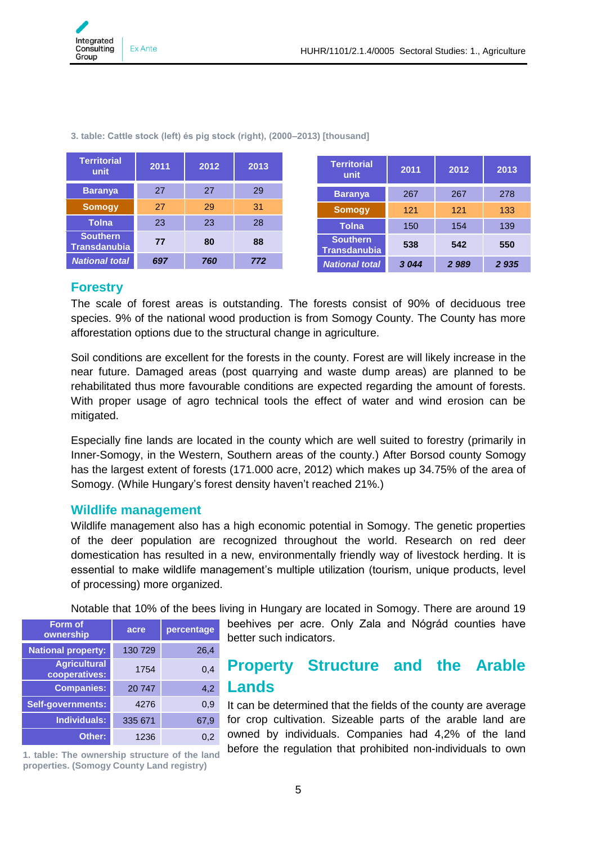

| <b>Territorial</b><br>unit             | 2011 | 2012 | 2013 | <b>Territorial</b><br>unit             | 2011 | 2012 | 2013 |
|----------------------------------------|------|------|------|----------------------------------------|------|------|------|
| <b>Baranya</b>                         | 27   | 27   | 29   | <b>Baranya</b>                         | 267  | 267  | 278  |
| <b>Somogy</b>                          | 27   | 29   | 31   | <b>Somogy</b>                          | 121  | 121  | 133  |
| <b>Tolna</b>                           | 23   | 23   | 28   | <b>Tolna</b>                           | 150  | 154  | 139  |
| <b>Southern</b><br><b>Transdanubia</b> | 77   | 80   | 88   | <b>Southern</b><br><b>Transdanubia</b> | 538  | 542  | 550  |
| <b>National total</b>                  | 697  | 760  | 772  | <b>National total</b>                  | 3044 | 2989 | 2935 |

**3. table: Cattle stock (left) és pig stock (right), (2000–2013) [thousand]**

#### <span id="page-4-0"></span>**Forestry**

The scale of forest areas is outstanding. The forests consist of 90% of deciduous tree species. 9% of the national wood production is from Somogy County. The County has more afforestation options due to the structural change in agriculture.

Soil conditions are excellent for the forests in the county. Forest are will likely increase in the near future. Damaged areas (post quarrying and waste dump areas) are planned to be rehabilitated thus more favourable conditions are expected regarding the amount of forests. With proper usage of agro technical tools the effect of water and wind erosion can be mitigated.

Especially fine lands are located in the county which are well suited to forestry (primarily in Inner-Somogy, in the Western, Southern areas of the county.) After Borsod county Somogy has the largest extent of forests (171.000 acre, 2012) which makes up 34.75% of the area of Somogy. (While Hungary's forest density haven't reached 21%.)

#### <span id="page-4-1"></span>**Wildlife management**

Wildlife management also has a high economic potential in Somogy. The genetic properties of the deer population are recognized throughout the world. Research on red deer domestication has resulted in a new, environmentally friendly way of livestock herding. It is essential to make wildlife management's multiple utilization (tourism, unique products, level of processing) more organized.

Notable that 10% of the bees living in Hungary are located in Somogy. There are around 19

| Form of<br>ownership                 | acre    | percentage |
|--------------------------------------|---------|------------|
| <b>National property:</b>            | 130 729 | 26,4       |
| <b>Agricultural</b><br>cooperatives: | 1754    | 0,4        |
| <b>Companies:</b>                    | 20747   | 4,2        |
| <b>Self-governments:</b>             | 4276    | 0,9        |
| <b>Individuals:</b>                  | 335 671 | 67,9       |
| Other:                               | 1236    | 0,2        |

**1. table: The ownership structure of the land properties. (Somogy County Land registry)**

beehives per acre. Only Zala and Nógrád counties have better such indicators.

### **Property Structure and the Arable Lands**

It can be determined that the fields of the county are average for crop cultivation. Sizeable parts of the arable land are owned by individuals. Companies had 4,2% of the land before the regulation that prohibited non-individuals to own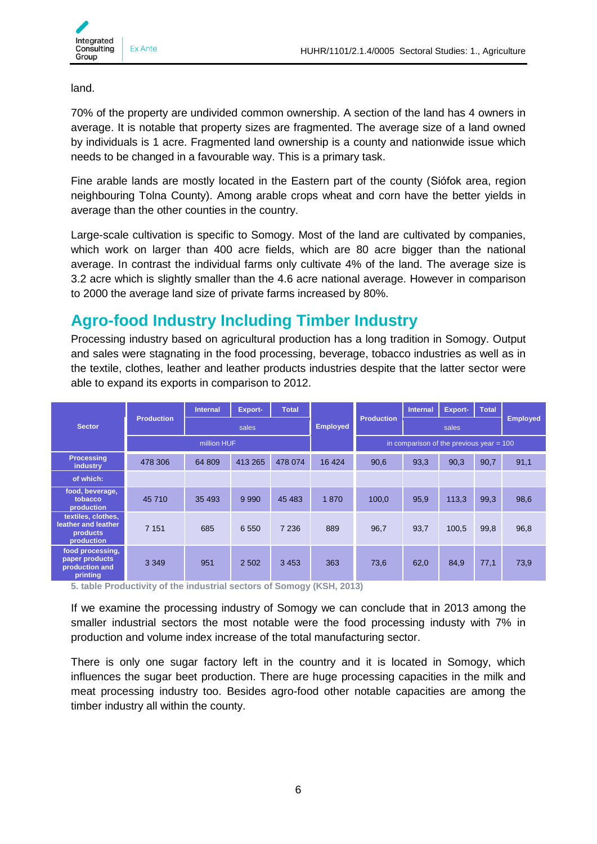land.

70% of the property are undivided common ownership. A section of the land has 4 owners in average. It is notable that property sizes are fragmented. The average size of a land owned by individuals is 1 acre. Fragmented land ownership is a county and nationwide issue which needs to be changed in a favourable way. This is a primary task.

Fine arable lands are mostly located in the Eastern part of the county (Siófok area, region neighbouring Tolna County). Among arable crops wheat and corn have the better yields in average than the other counties in the country.

Large-scale cultivation is specific to Somogy. Most of the land are cultivated by companies, which work on larger than 400 acre fields, which are 80 acre bigger than the national average. In contrast the individual farms only cultivate 4% of the land. The average size is 3.2 acre which is slightly smaller than the 4.6 acre national average. However in comparison to 2000 the average land size of private farms increased by 80%.

## **Agro-food Industry Including Timber Industry**

Processing industry based on agricultural production has a long tradition in Somogy. Output and sales were stagnating in the food processing, beverage, tobacco industries as well as in the textile, clothes, leather and leather products industries despite that the latter sector were able to expand its exports in comparison to 2012.

|                                                                            |                   | <b>Internal</b> | Export- | <b>Total</b>                               |                 |                   | <b>Internal</b> | <b>Export-</b> | <b>Total</b> |                 |
|----------------------------------------------------------------------------|-------------------|-----------------|---------|--------------------------------------------|-----------------|-------------------|-----------------|----------------|--------------|-----------------|
| <b>Sector</b>                                                              | <b>Production</b> | sales           |         |                                            | <b>Employed</b> | <b>Production</b> | sales           |                |              | <b>Employed</b> |
|                                                                            |                   | million HUF     |         | in comparison of the previous year $= 100$ |                 |                   |                 |                |              |                 |
| <b>Processing</b><br>industry                                              | 478 306           | 64 809          | 413 265 | 478 074                                    | 16 4 24         | 90,6              | 93,3            | 90,3           | 90,7         | 91,1            |
| of which:                                                                  |                   |                 |         |                                            |                 |                   |                 |                |              |                 |
| food, beverage,<br>tobacco<br>production                                   | 45 710            | 35 493          | 9 9 9 0 | 45 4 83                                    | 1870            | 100,0             | 95,9            | 113,3          | 99,3         | 98,6            |
| textiles, clothes,<br>leather and leather<br><b>products</b><br>production | 7 1 5 1           | 685             | 6 5 5 0 | 7 2 3 6                                    | 889             | 96,7              | 93,7            | 100,5          | 99,8         | 96,8            |
| food processing,<br>paper products<br>production and<br>printing           | 3 3 4 9           | 951             | 2 5 0 2 | 3 4 5 3                                    | 363             | 73,6              | 62,0            | 84,9           | 77,1         | 73,9            |

**5. table Productivity of the industrial sectors of Somogy (KSH, 2013)**

If we examine the processing industry of Somogy we can conclude that in 2013 among the smaller industrial sectors the most notable were the food processing industy with 7% in production and volume index increase of the total manufacturing sector.

There is only one sugar factory left in the country and it is located in Somogy, which influences the sugar beet production. There are huge processing capacities in the milk and meat processing industry too. Besides agro-food other notable capacities are among the timber industry all within the county.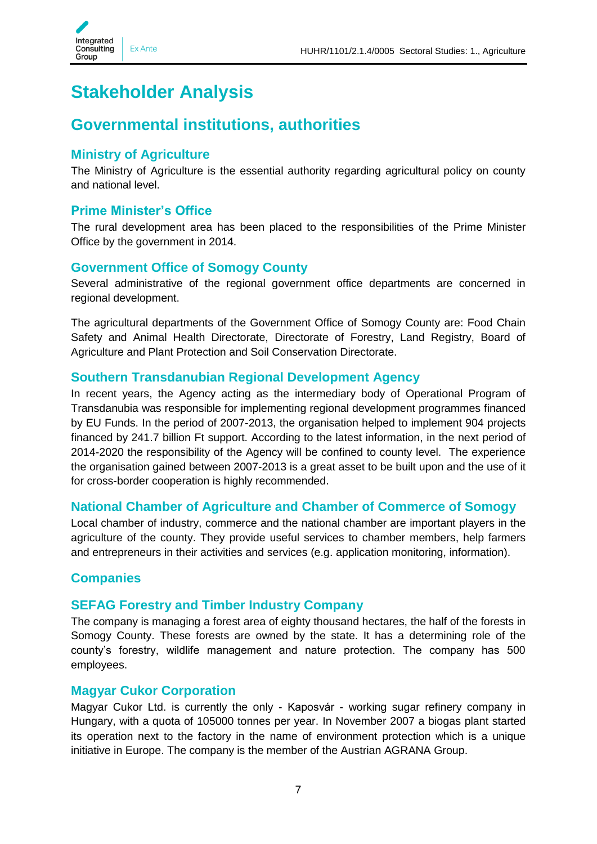

## <span id="page-6-0"></span>**Stakeholder Analysis**

## <span id="page-6-1"></span>**Governmental institutions, authorities**

#### <span id="page-6-2"></span>**Ministry of Agriculture**

The Ministry of Agriculture is the essential authority regarding agricultural policy on county and national level.

#### <span id="page-6-3"></span>**Prime Minister's Office**

The rural development area has been placed to the responsibilities of the Prime Minister Office by the government in 2014.

#### <span id="page-6-4"></span>**Government Office of Somogy County**

Several administrative of the regional government office departments are concerned in regional development.

The agricultural departments of the Government Office of Somogy County are: Food Chain Safety and Animal Health Directorate, Directorate of Forestry, Land Registry, Board of Agriculture and Plant Protection and Soil Conservation Directorate.

#### <span id="page-6-5"></span>**Southern Transdanubian Regional Development Agency**

In recent years, the Agency acting as the intermediary body of Operational Program of Transdanubia was responsible for implementing regional development programmes financed by EU Funds. In the period of 2007-2013, the organisation helped to implement 904 projects financed by 241.7 billion Ft support. According to the latest information, in the next period of 2014-2020 the responsibility of the Agency will be confined to county level. The experience the organisation gained between 2007-2013 is a great asset to be built upon and the use of it for cross-border cooperation is highly recommended.

#### <span id="page-6-6"></span>**National Chamber of Agriculture and Chamber of Commerce of Somogy**

Local chamber of industry, commerce and the national chamber are important players in the agriculture of the county. They provide useful services to chamber members, help farmers and entrepreneurs in their activities and services (e.g. application monitoring, information).

#### <span id="page-6-7"></span>**Companies**

#### <span id="page-6-8"></span>**SEFAG Forestry and Timber Industry Company**

The company is managing a forest area of eighty thousand hectares, the half of the forests in Somogy County. These forests are owned by the state. It has a determining role of the county's forestry, wildlife management and nature protection. The company has 500 employees.

#### <span id="page-6-9"></span>**Magyar Cukor Corporation**

Magyar Cukor Ltd. is currently the only - Kaposvár - working sugar refinery company in Hungary, with a quota of 105000 tonnes per year. In November 2007 a biogas plant started its operation next to the factory in the name of environment protection which is a unique initiative in Europe. The company is the member of the Austrian AGRANA Group.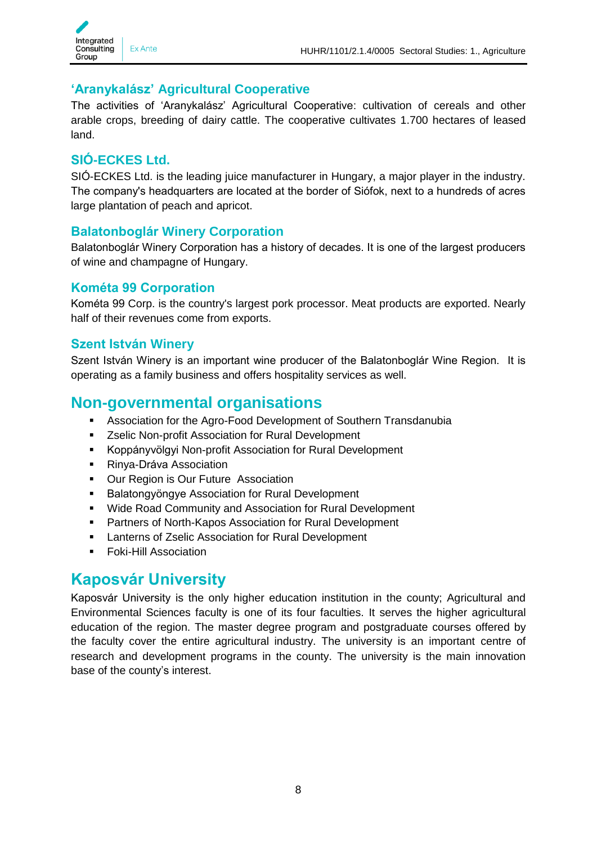

#### <span id="page-7-0"></span>**'Aranykalász' Agricultural Cooperative**

The activities of 'Aranykalász' Agricultural Cooperative: cultivation of cereals and other arable crops, breeding of dairy cattle. The cooperative cultivates 1.700 hectares of leased land.

#### <span id="page-7-1"></span>**SIÓ-ECKES Ltd.**

SIÓ-ECKES Ltd. is the leading juice manufacturer in Hungary, a major player in the industry. The company's headquarters are located at the border of Siófok, next to a hundreds of acres large plantation of peach and apricot.

#### <span id="page-7-2"></span>**Balatonboglár Winery Corporation**

Balatonboglár Winery Corporation has a history of decades. It is one of the largest producers of wine and champagne of Hungary.

#### <span id="page-7-3"></span>**Kométa 99 Corporation**

Kométa 99 Corp. is the country's largest pork processor. Meat products are exported. Nearly half of their revenues come from exports.

#### <span id="page-7-4"></span>**Szent István Winery**

Szent István Winery is an important wine producer of the Balatonboglár Wine Region. It is operating as a family business and offers hospitality services as well.

### <span id="page-7-5"></span>**Non-governmental organisations**

- **Association for the Agro-Food Development of Southern Transdanubia**
- **EXECUTE:** Zselic Non-profit Association for Rural Development
- Koppányvölgyi Non-profit Association for Rural Development
- Rinya-Dráva Association
- **Our Region is Our Future Association**
- **Balatongyöngye Association for Rural Development**
- Wide Road Community and Association for Rural Development
- Partners of North-Kapos Association for Rural Development
- **EXEC** Lanterns of Zselic Association for Rural Development
- **Foki-Hill Association**

### <span id="page-7-6"></span>**Kaposvár University**

Kaposvár University is the only higher education institution in the county; Agricultural and Environmental Sciences faculty is one of its four faculties. It serves the higher agricultural education of the region. The master degree program and postgraduate courses offered by the faculty cover the entire agricultural industry. The university is an important centre of research and development programs in the county. The university is the main innovation base of the county's interest.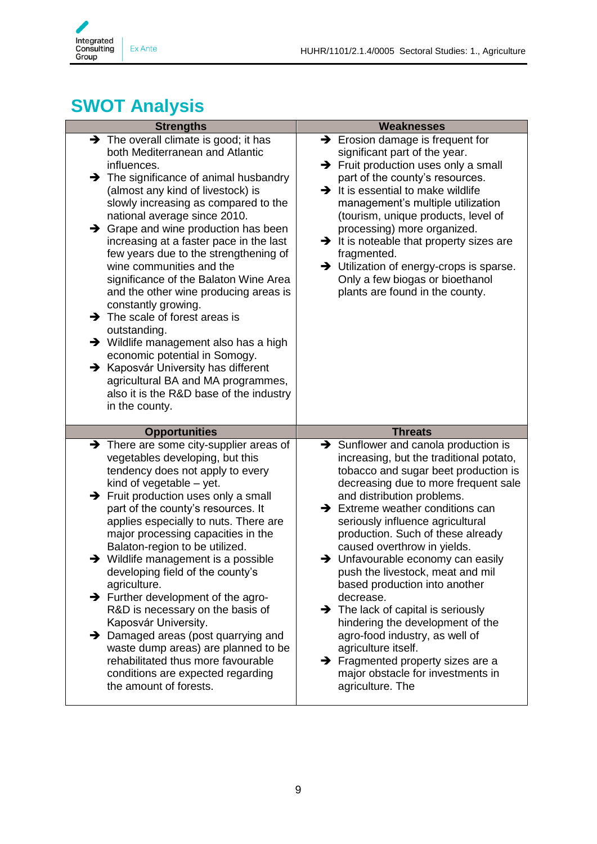

## <span id="page-8-0"></span>**SWOT Analysis**

| <b>Strengths</b>                                                                                                                                                                                                                                                                                                                                                                                                                                                                                                                                                                                                                                                                                                                                                                                                                                              | <b>Weaknesses</b>                                                                                                                                                                                                                                                                                                                                                                                                                                                                                                                                                                                                                                                                                                                                             |
|---------------------------------------------------------------------------------------------------------------------------------------------------------------------------------------------------------------------------------------------------------------------------------------------------------------------------------------------------------------------------------------------------------------------------------------------------------------------------------------------------------------------------------------------------------------------------------------------------------------------------------------------------------------------------------------------------------------------------------------------------------------------------------------------------------------------------------------------------------------|---------------------------------------------------------------------------------------------------------------------------------------------------------------------------------------------------------------------------------------------------------------------------------------------------------------------------------------------------------------------------------------------------------------------------------------------------------------------------------------------------------------------------------------------------------------------------------------------------------------------------------------------------------------------------------------------------------------------------------------------------------------|
| $\rightarrow$ The overall climate is good; it has<br>both Mediterranean and Atlantic<br>influences.<br>$\rightarrow$ The significance of animal husbandry<br>(almost any kind of livestock) is<br>slowly increasing as compared to the<br>national average since 2010.<br>$\rightarrow$ Grape and wine production has been<br>increasing at a faster pace in the last<br>few years due to the strengthening of<br>wine communities and the<br>significance of the Balaton Wine Area<br>and the other wine producing areas is<br>constantly growing.<br>$\rightarrow$ The scale of forest areas is<br>outstanding.<br>$\rightarrow$ Wildlife management also has a high<br>economic potential in Somogy.<br>$\rightarrow$ Kaposvár University has different<br>agricultural BA and MA programmes,<br>also it is the R&D base of the industry<br>in the county. | $\rightarrow$ Erosion damage is frequent for<br>significant part of the year.<br>$\rightarrow$ Fruit production uses only a small<br>part of the county's resources.<br>$\rightarrow$ It is essential to make wildlife<br>management's multiple utilization<br>(tourism, unique products, level of<br>processing) more organized.<br>$\rightarrow$ It is noteable that property sizes are<br>fragmented.<br>> Utilization of energy-crops is sparse.<br>Only a few biogas or bioethanol<br>plants are found in the county.                                                                                                                                                                                                                                    |
| <b>Opportunities</b>                                                                                                                                                                                                                                                                                                                                                                                                                                                                                                                                                                                                                                                                                                                                                                                                                                          | <b>Threats</b>                                                                                                                                                                                                                                                                                                                                                                                                                                                                                                                                                                                                                                                                                                                                                |
| $\rightarrow$ There are some city-supplier areas of<br>vegetables developing, but this<br>tendency does not apply to every<br>kind of vegetable - yet.<br>$\rightarrow$ Fruit production uses only a small<br>part of the county's resources. It<br>applies especially to nuts. There are<br>major processing capacities in the<br>Balaton-region to be utilized.<br>$\rightarrow$ Wildlife management is a possible<br>developing field of the county's<br>agriculture.<br>$\rightarrow$ Further development of the agro-<br>R&D is necessary on the basis of<br>Kaposvár University.<br>Damaged areas (post quarrying and<br>→<br>waste dump areas) are planned to be<br>rehabilitated thus more favourable<br>conditions are expected regarding<br>the amount of forests.                                                                                  | $\rightarrow$ Sunflower and canola production is<br>increasing, but the traditional potato,<br>tobacco and sugar beet production is<br>decreasing due to more frequent sale<br>and distribution problems.<br>$\rightarrow$ Extreme weather conditions can<br>seriously influence agricultural<br>production. Such of these already<br>caused overthrow in yields.<br>$\rightarrow$ Unfavourable economy can easily<br>push the livestock, meat and mil<br>based production into another<br>decrease.<br>$\rightarrow$ The lack of capital is seriously<br>hindering the development of the<br>agro-food industry, as well of<br>agriculture itself.<br>$\rightarrow$ Fragmented property sizes are a<br>major obstacle for investments in<br>agriculture. The |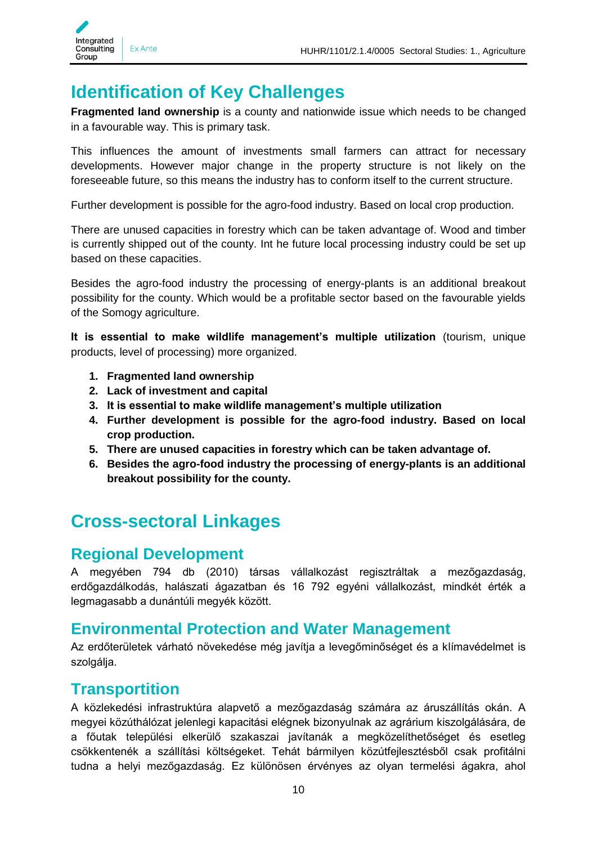

## <span id="page-9-0"></span>**Identification of Key Challenges**

**Fragmented land ownership** is a county and nationwide issue which needs to be changed in a favourable way. This is primary task.

This influences the amount of investments small farmers can attract for necessary developments. However major change in the property structure is not likely on the foreseeable future, so this means the industry has to conform itself to the current structure.

Further development is possible for the agro-food industry. Based on local crop production.

There are unused capacities in forestry which can be taken advantage of. Wood and timber is currently shipped out of the county. Int he future local processing industry could be set up based on these capacities.

Besides the agro-food industry the processing of energy-plants is an additional breakout possibility for the county. Which would be a profitable sector based on the favourable yields of the Somogy agriculture.

**It is essential to make wildlife management's multiple utilization** (tourism, unique products, level of processing) more organized.

- **1. Fragmented land ownership**
- **2. Lack of investment and capital**
- **3. It is essential to make wildlife management's multiple utilization**
- **4. Further development is possible for the agro-food industry. Based on local crop production.**
- **5. There are unused capacities in forestry which can be taken advantage of.**
- **6. Besides the agro-food industry the processing of energy-plants is an additional breakout possibility for the county.**

## <span id="page-9-1"></span>**Cross-sectoral Linkages**

### <span id="page-9-2"></span>**Regional Development**

A megyében 794 db (2010) társas vállalkozást regisztráltak a mezőgazdaság, erdőgazdálkodás, halászati ágazatban és 16 792 egyéni vállalkozást, mindkét érték a legmagasabb a dunántúli megyék között.

### <span id="page-9-3"></span>**Environmental Protection and Water Management**

Az erdőterületek várható növekedése még javítja a levegőminőséget és a klímavédelmet is szolgálja.

### <span id="page-9-4"></span>**Transportition**

A közlekedési infrastruktúra alapvető a mezőgazdaság számára az áruszállítás okán. A megyei közúthálózat jelenlegi kapacitási elégnek bizonyulnak az agrárium kiszolgálására, de a főutak települési elkerülő szakaszai javítanák a megközelíthetőséget és esetleg csökkentenék a szállítási költségeket. Tehát bármilyen közútfejlesztésből csak profitálni tudna a helyi mezőgazdaság. Ez különösen érvényes az olyan termelési ágakra, ahol